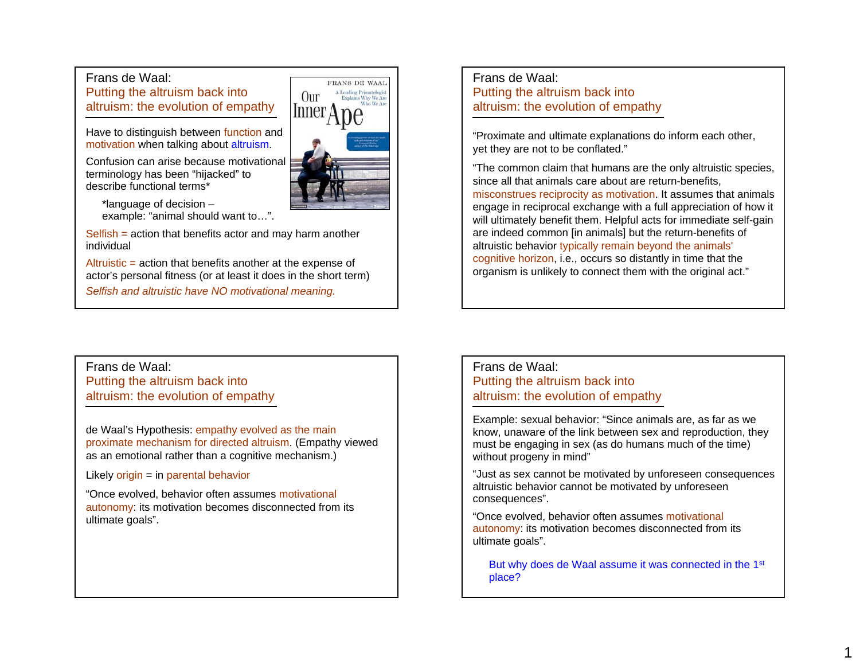## Frans de Waal:

Putting the altruism back into altruism: the evolution of empathy

Have to distinguish between function and motivation when talking about altruism.

Confusion can arise because motivational terminology has been "hijacked" to describe functional terms\*

\*language of decision – example: "animal should want to…".

Selfish = action that benefits actor and may harm another individual

Altruistic = action that benefits another at the expense of actor's personal fitness (or at least it does in the short term) *Selfish and altruistic have NO motivational meaning.*

Frans de Waal:Putting the altruism back into altruism: the evolution of empathy

"Proximate and ultimate explanations do inform each other, yet they are not to be conflated."

"The common claim that humans are the only altruistic species, since all that animals care about are return-benefits, misconstrues reciprocity as motivation. It assumes that animals engage in reciprocal exchange with a full appreciation of how it will ultimately benefit them. Helpful acts for immediate self-gain are indeed common [in animals] but the return-benefits of altruistic behavior typically remain beyond the animals' cognitive horizon, i.e., occurs so distantly in time that the organism is unlikely to connect them with the original act."

Frans de Waal:Putting the altruism back into altruism: the evolution of empathy

de Waal's Hypothesis: empathy evolved as the main proximate mechanism for directed altruism. (Empathy viewed as an emotional rather than a cognitive mechanism.)

Likely  $origin = in parental behavior$ 

"Once evolved, behavior often assumes motivational autonomy: its motivation becomes disconnected from its ultimate goals".

## Frans de Waal:Putting the altruism back into altruism: the evolution of empathy

Example: sexual behavior: "Since animals are, as far as we know, unaware of the link between sex and reproduction, they must be engaging in sex (as do humans much of the time) without progeny in mind"

"Just as sex cannot be motivated by unforeseen consequences altruistic behavior cannot be motivated by unforeseen consequences".

"Once evolved, behavior often assumes motivational autonomy: its motivation becomes disconnected from its ultimate goals".

But why does de Waal assume it was connected in the 1<sup>st</sup> place?

1

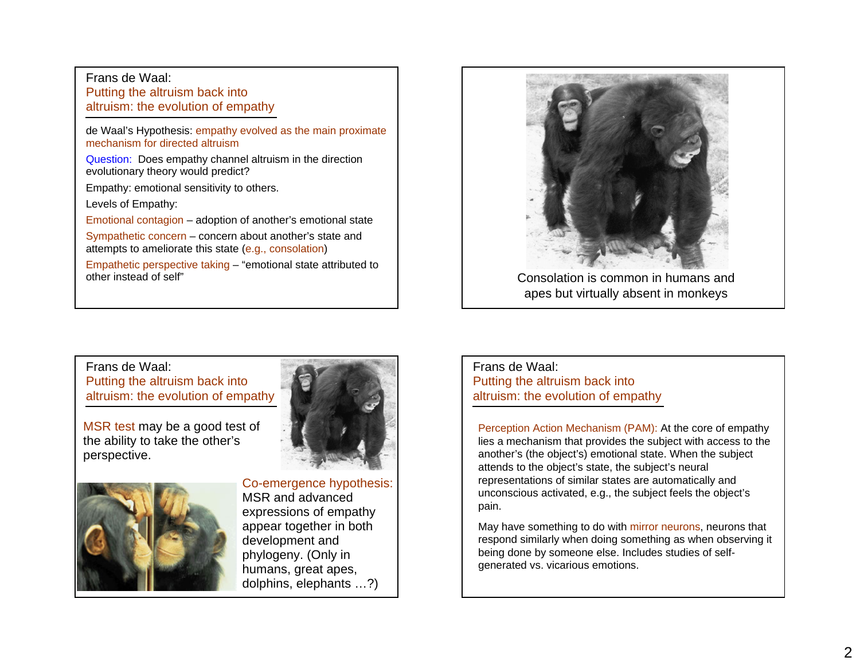### Frans de Waal:Putting the altruism back into altruism: the evolution of empathy

de Waal's Hypothesis: empathy evolved as the main proximate mechanism for directed altruism

Question: Does empathy channel altruism in the direction evolutionary theory would predict?

Empathy: emotional sensitivity to others.

Levels of Empathy:

Emotional contagion – adoption of another's emotional state

Sympathetic concern – concern about another's state and attempts to ameliorate this state (e.g., consolation)

Empathetic perspective taking – "emotional state attributed to other instead of self"



apes but virtually absent in monkeys

Frans de Waal:Putting the altruism back into altruism: the evolution of empathy

MSR test may be a good test of the ability to take the other's perspective.





Co-emergence hypothesis: MSR and advanced expressions of empathy appear together in both development and phylogeny. (Only in humans, great apes, dolphins, elephants …?)

## Frans de Waal:Putting the altruism back into altruism: the evolution of empathy

Perception Action Mechanism (PAM): At the core of empathy lies a mechanism that provides the subject with access to the another's (the object's) emotional state. When the subject attends to the object's state, the subject's neural representations of similar states are automatically and unconscious activated, e.g., the subject feels the object's pain.

May have something to do with mirror neurons, neurons that respond similarly when doing something as when observing it being done by someone else. Includes studies of selfgenerated vs. vicarious emotions.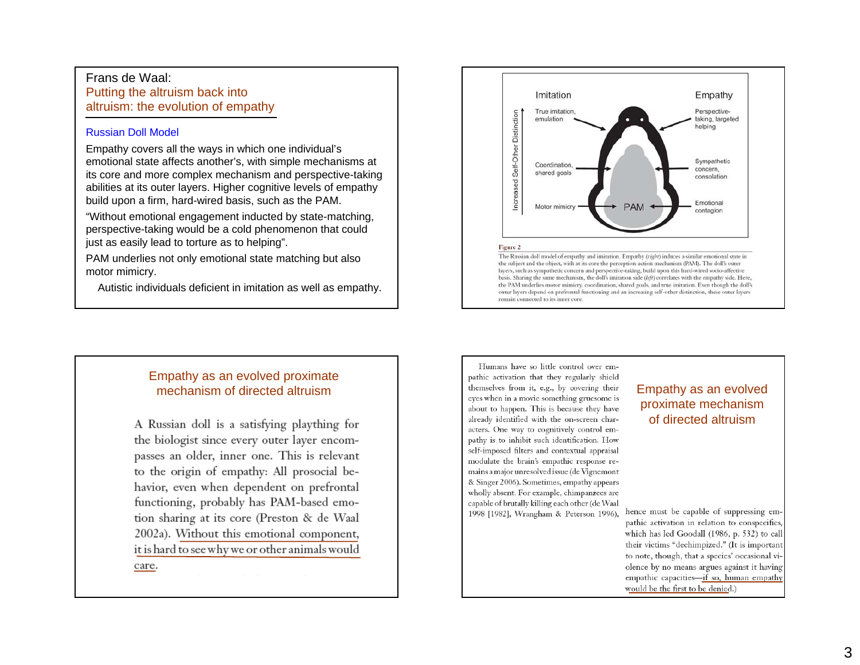### Frans de Waal:Putting the altruism back into altruism: the evolution of empathy

#### Russian Doll Model

Empathy covers all the ways in which one individual's emotional state affects another's, with simple mechanisms at its core and more complex mechanism and perspective-taking abilities at its outer layers. Higher cognitive levels of empathy build upon a firm, hard-wired basis, such as the PAM.

"Without emotional engagement inducted by state-matching, perspective-taking would be a cold phenomenon that could just as easily lead to torture as to helping".

PAM underlies not only emotional state matching but also motor mimicry.

Autistic individuals deficient in imitation as well as empathy.



outer layers depend on prefrontal functioning and an increasing self-other distinction, these outer layers

## Empathy as an evolved proximate mechanism of directed altruism

A Russian doll is a satisfying plaything for the biologist since every outer layer encompasses an older, inner one. This is relevant to the origin of empathy: All prosocial behavior, even when dependent on prefrontal functioning, probably has PAM-based emotion sharing at its core (Preston & de Waal 2002a). Without this emotional component, it is hard to see why we or other animals would

Humans have so little control over empathic activation that they regularly shield themselves from it, e.g., by covering their **Empathy as an evolved** eyes when in a movie something gruesome is about to happen. This is because they have already identified with the on-screen characters. One way to cognitively control empathy is to inhibit such identification. How self-imposed filters and contextual appraisal modulate the brain's empathic response remains a major unresolved issue (de Vignemont & Singer 2006). Sometimes, empathy appears wholly absent. For example, chimpanzees are capable of brutally killing each other (de Waal 1998 [1982], Wrangham & Peterson 1996),

remain connected to its inner core.

# proximate mechanism of directed altruism

hence must be capable of suppressing empathic activation in relation to conspecifics, which has led Goodall (1986, p. 532) to call their victims "dechimpized." (It is important to note, though, that a species' occasional violence by no means argues against it having empathic capacities-if so, human empathy would be the first to be denied.)